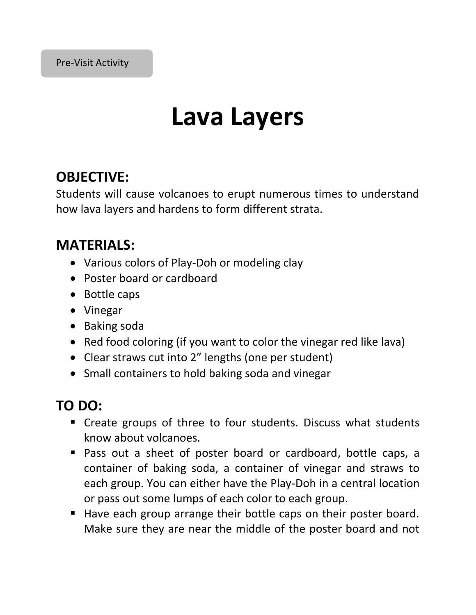#### Pre-Visit Activity

## **Lava Layers**

### **OBJECTIVE:**

Students will cause volcanoes to erupt numerous times to understand how lava layers and hardens to form different strata.

### **MATERIALS:**

- Various colors of Play-Doh or modeling clay
- Poster board or cardboard
- Bottle caps
- Vinegar
- Baking soda
- Red food coloring (if you want to color the vinegar red like lava)
- Clear straws cut into 2" lengths (one per student)
- Small containers to hold baking soda and vinegar

### **TO DO:**

- Create groups of three to four students. Discuss what students know about volcanoes.
- Pass out a sheet of poster board or cardboard, bottle caps, a container of baking soda, a container of vinegar and straws to each group. You can either have the Play-Doh in a central location or pass out some lumps of each color to each group.
- Have each group arrange their bottle caps on their poster board. Make sure they are near the middle of the poster board and not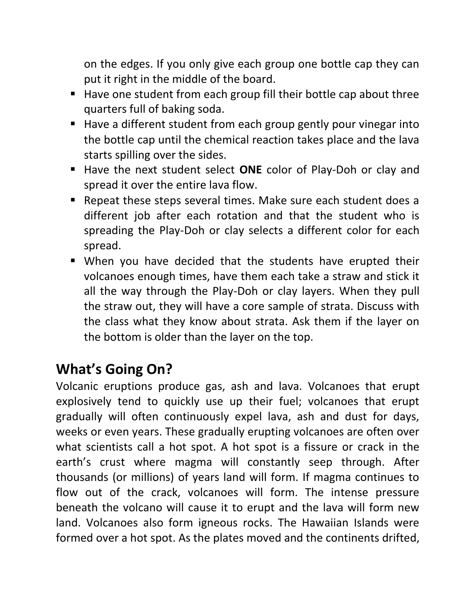on the edges. If you only give each group one bottle cap they can put it right in the middle of the board.

- Have one student from each group fill their bottle cap about three quarters full of baking soda.
- Have a different student from each group gently pour vinegar into the bottle cap until the chemical reaction takes place and the lava starts spilling over the sides.
- Have the next student select **ONE** color of Play-Doh or clay and spread it over the entire lava flow.
- Repeat these steps several times. Make sure each student does a different job after each rotation and that the student who is spreading the Play-Doh or clay selects a different color for each spread.
- When you have decided that the students have erupted their volcanoes enough times, have them each take a straw and stick it all the way through the Play-Doh or clay layers. When they pull the straw out, they will have a core sample of strata. Discuss with the class what they know about strata. Ask them if the layer on the bottom is older than the layer on the top.

### **What's Going On?**

Volcanic eruptions produce gas, ash and lava. Volcanoes that erupt explosively tend to quickly use up their fuel; volcanoes that erupt gradually will often continuously expel lava, ash and dust for days, weeks or even years. These gradually erupting volcanoes are often over what scientists call a hot spot. A hot spot is a fissure or crack in the earth's crust where magma will constantly seep through. After thousands (or millions) of years land will form. If magma continues to flow out of the crack, volcanoes will form. The intense pressure beneath the volcano will cause it to erupt and the lava will form new land. Volcanoes also form igneous rocks. The Hawaiian Islands were formed over a hot spot. As the plates moved and the continents drifted,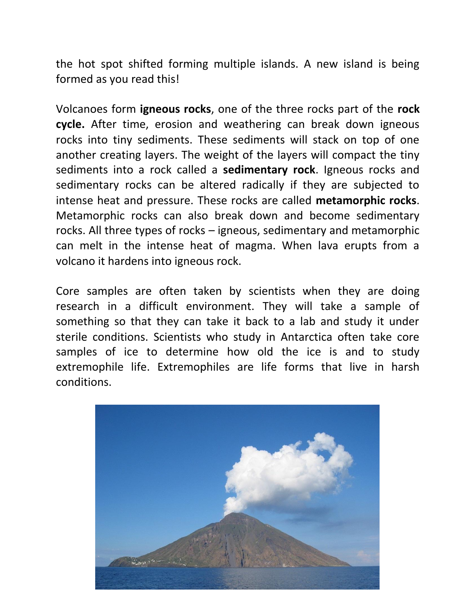the hot spot shifted forming multiple islands. A new island is being formed as you read this!

Volcanoes form **igneous rocks**, one of the three rocks part of the **rock cycle.** After time, erosion and weathering can break down igneous rocks into tiny sediments. These sediments will stack on top of one another creating layers. The weight of the layers will compact the tiny sediments into a rock called a **sedimentary rock**. Igneous rocks and sedimentary rocks can be altered radically if they are subjected to intense heat and pressure. These rocks are called **metamorphic rocks**. Metamorphic rocks can also break down and become sedimentary rocks. All three types of rocks – igneous, sedimentary and metamorphic can melt in the intense heat of magma. When lava erupts from a volcano it hardens into igneous rock.

Core samples are often taken by scientists when they are doing research in a difficult environment. They will take a sample of something so that they can take it back to a lab and study it under sterile conditions. Scientists who study in Antarctica often take core samples of ice to determine how old the ice is and to study extremophile life. Extremophiles are life forms that live in harsh conditions.

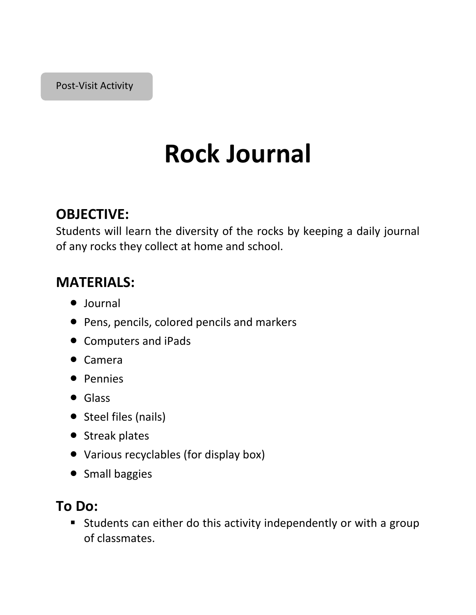# **Rock Journal**

### **OBJECTIVE:**

Students will learn the diversity of the rocks by keeping a daily journal of any rocks they collect at home and school.

### **MATERIALS:**

- Journal
- Pens, pencils, colored pencils and markers
- Computers and iPads
- Camera
- Pennies
- **•** Glass
- Steel files (nails)
- Streak plates
- Various recyclables (for display box)
- Small baggies

### **To Do:**

 Students can either do this activity independently or with a group of classmates.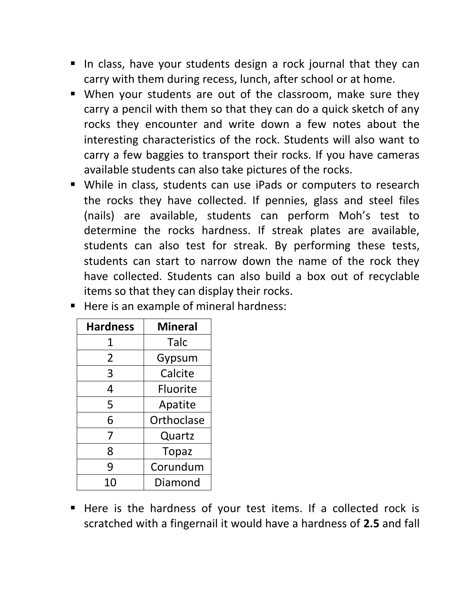- I In class, have your students design a rock journal that they can carry with them during recess, lunch, after school or at home.
- When your students are out of the classroom, make sure they carry a pencil with them so that they can do a quick sketch of any rocks they encounter and write down a few notes about the interesting characteristics of the rock. Students will also want to carry a few baggies to transport their rocks. If you have cameras available students can also take pictures of the rocks.
- While in class, students can use iPads or computers to research the rocks they have collected. If pennies, glass and steel files (nails) are available, students can perform Moh's test to determine the rocks hardness. If streak plates are available, students can also test for streak. By performing these tests, students can start to narrow down the name of the rock they have collected. Students can also build a box out of recyclable items so that they can display their rocks.

| <b>Hardness</b> | <b>Mineral</b>  |
|-----------------|-----------------|
| 1               | Talc            |
| 2               | Gypsum          |
| 3               | Calcite         |
| 4               | <b>Fluorite</b> |
| 5               | Apatite         |
| 6               | Orthoclase      |
| 7               | Quartz          |
| 8               | <b>Topaz</b>    |
| 9               | Corundum        |
|                 | Diamond         |

Here is an example of mineral hardness:

Here is the hardness of your test items. If a collected rock is scratched with a fingernail it would have a hardness of **2.5** and fall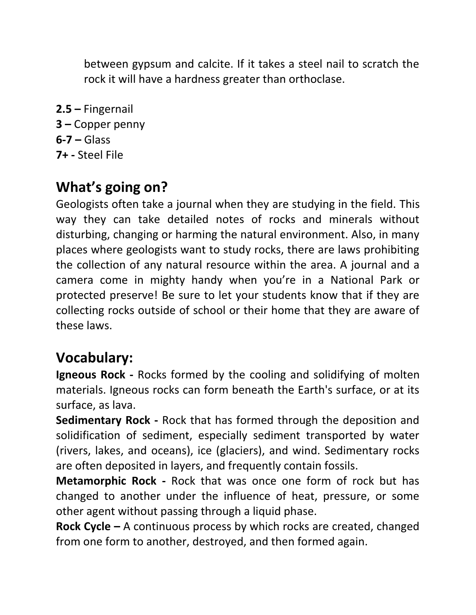between gypsum and calcite. If it takes a steel nail to scratch the rock it will have a hardness greater than orthoclase.

**2.5 –** Fingernail **3 –** Copper penny **6-7 –** Glass **7+ -** Steel File

### **What's going on?**

Geologists often take a journal when they are studying in the field. This way they can take detailed notes of rocks and minerals without disturbing, changing or harming the natural environment. Also, in many places where geologists want to study rocks, there are laws prohibiting the collection of any natural resource within the area. A journal and a camera come in mighty handy when you're in a National Park or protected preserve! Be sure to let your students know that if they are collecting rocks outside of school or their home that they are aware of these laws.

### **Vocabulary:**

**Igneous Rock -** Rocks formed by the cooling and solidifying of molten materials. Igneous rocks can form beneath the Earth's surface, or at its surface, as lava.

**Sedimentary Rock -** Rock that has formed through the deposition and solidification of sediment, especially sediment transported by water (rivers, lakes, and oceans), ice (glaciers), and wind. Sedimentary rocks are often deposited in layers, and frequently contain fossils.

**Metamorphic Rock -** Rock that was once one form of rock but has changed to another under the influence of heat, pressure, or some other agent without passing through a liquid phase.

**Rock Cycle –** A continuous process by which rocks are created, changed from one form to another, destroyed, and then formed again.